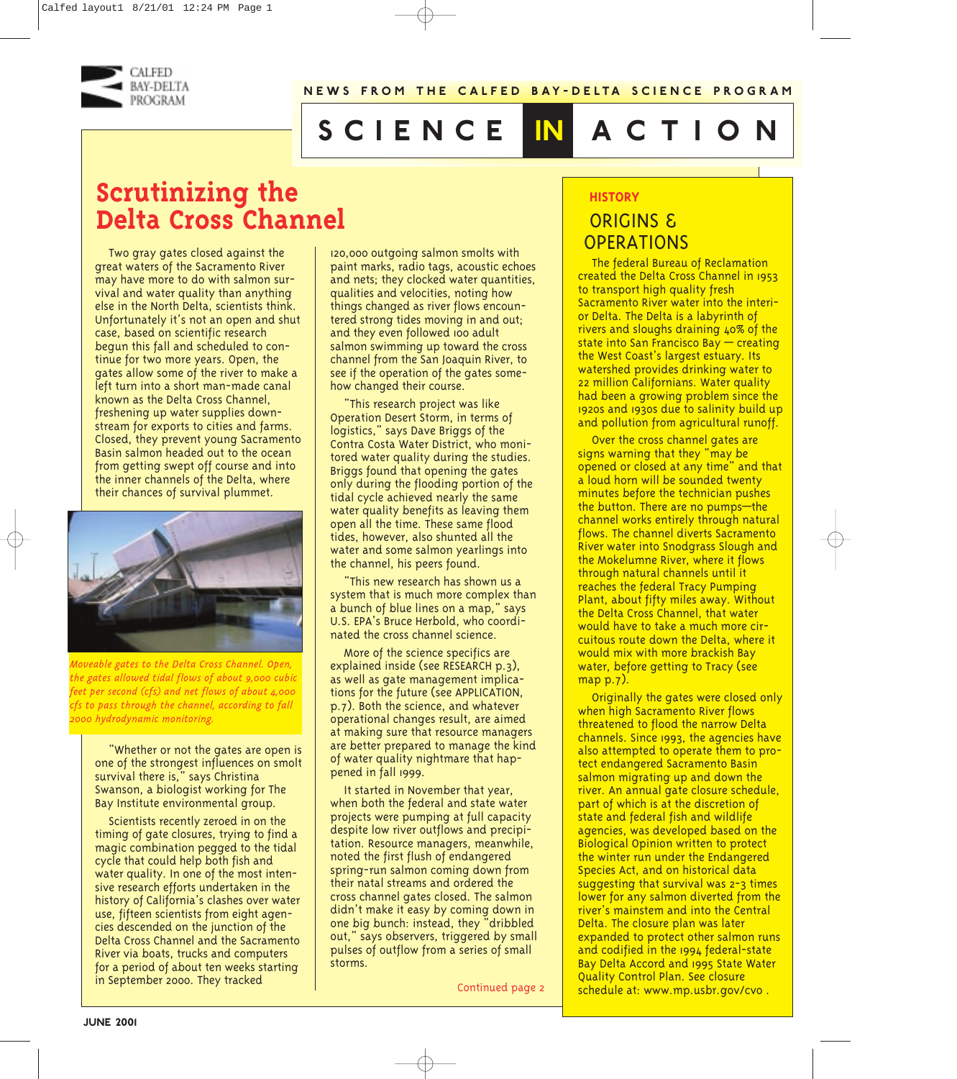

# **science in action**

## **Scrutinizing the Delta Cross Channel**

Two gray gates closed against the great waters of the Sacramento River may have more to do with salmon survival and water quality than anything else in the North Delta, scientists think. Unfortunately it's not an open and shut case, based on scientific research begun this fall and scheduled to continue for two more years. Open, the gates allow some of the river to make a left turn into a short man-made canal known as the Delta Cross Channel, freshening up water supplies downstream for exports to cities and farms. Closed, they prevent young Sacramento Basin salmon headed out to the ocean from getting swept off course and into the inner channels of the Delta, where their chances of survival plummet.



*Moveable gates to the Delta Cross Channel. Open, the gates allowed tidal flows of about 9,000 cubic feet per second (cfs) and net flows of about 4,000 cfs to pass through the channel, according to fall 2000 hydrodynamic monitoring.*

"Whether or not the gates are open is one of the strongest influences on smolt survival there is," says Christina Swanson, a biologist working for The Bay Institute environmental group.

Scientists recently zeroed in on the timing of gate closures, trying to find a magic combination pegged to the tidal cycle that could help both fish and water quality. In one of the most intensive research efforts undertaken in the history of California's clashes over water use, fifteen scientists from eight agencies descended on the junction of the Delta Cross Channel and the Sacramento River via boats, trucks and computers for a period of about ten weeks starting in September 2000. They tracked

120,000 outgoing salmon smolts with paint marks, radio tags, acoustic echoes and nets; they clocked water quantities, qualities and velocities, noting how things changed as river flows encountered strong tides moving in and out; and they even followed 100 adult salmon swimming up toward the cross channel from the San Joaquin River, to see if the operation of the gates somehow changed their course.

"This research project was like Operation Desert Storm, in terms of logistics," says Dave Briggs of the Contra Costa Water District, who monitored water quality during the studies. Briggs found that opening the gates only during the flooding portion of the tidal cycle achieved nearly the same water quality benefits as leaving them open all the time. These same flood tides, however, also shunted all the water and some salmon yearlings into the channel, his peers found.

"This new research has shown us a system that is much more complex than a bunch of blue lines on a map," says U.S. EPA's Bruce Herbold, who coordinated the cross channel science.

More of the science specifics are explained inside (see RESEARCH p.3), as well as gate management implications for the future (see APPLICATION, p.7). Both the science, and whatever operational changes result, are aimed at making sure that resource managers are better prepared to manage the kind of water quality nightmare that happened in fall 1999.

It started in November that year, when both the federal and state water projects were pumping at full capacity despite low river outflows and precipitation. Resource managers, meanwhile, noted the first flush of endangered spring-run salmon coming down from their natal streams and ordered the cross channel gates closed. The salmon didn't make it easy by coming down in one big bunch: instead, they "dribbled out," says observers, triggered by small pulses of outflow from a series of small storms.

Continued page 2

## **HISTORY**

## ORIGINS & **OPERATIONS**

The federal Bureau of Reclamation created the Delta Cross Channel in 1953 to transport high quality fresh Sacramento River water into the interior Delta. The Delta is a labyrinth of rivers and sloughs draining 40% of the state into San Francisco Bay — creating the West Coast's largest estuary. Its watershed provides drinking water to 22 million Californians. Water quality had been a growing problem since the 1920s and 1930s due to salinity build up and pollution from agricultural runoff.

Over the cross channel gates are signs warning that they "may be opened or closed at any time" and that a loud horn will be sounded twenty minutes before the technician pushes the button. There are no pumps—the channel works entirely through natural flows. The channel diverts Sacramento River water into Snodgrass Slough and the Mokelumne River, where it flows through natural channels until it reaches the federal Tracy Pumping Plant, about fifty miles away. Without the Delta Cross Channel, that water would have to take a much more circuitous route down the Delta, where it would mix with more brackish Bay water, before getting to Tracy (see map p.7).

Originally the gates were closed only when high Sacramento River flows threatened to flood the narrow Delta channels. Since 1993, the agencies have also attempted to operate them to protect endangered Sacramento Basin salmon migrating up and down the river. An annual gate closure schedule, part of which is at the discretion of state and federal fish and wildlife agencies, was developed based on the Biological Opinion written to protect the winter run under the Endangered Species Act, and on historical data suggesting that survival was 2-3 times lower for any salmon diverted from the river's mainstem and into the Central Delta. The closure plan was later expanded to protect other salmon runs and codified in the 1994 federal-state Bay Delta Accord and 1995 State Water Quality Control Plan. See closure schedule at: www.mp.usbr.gov/cvo .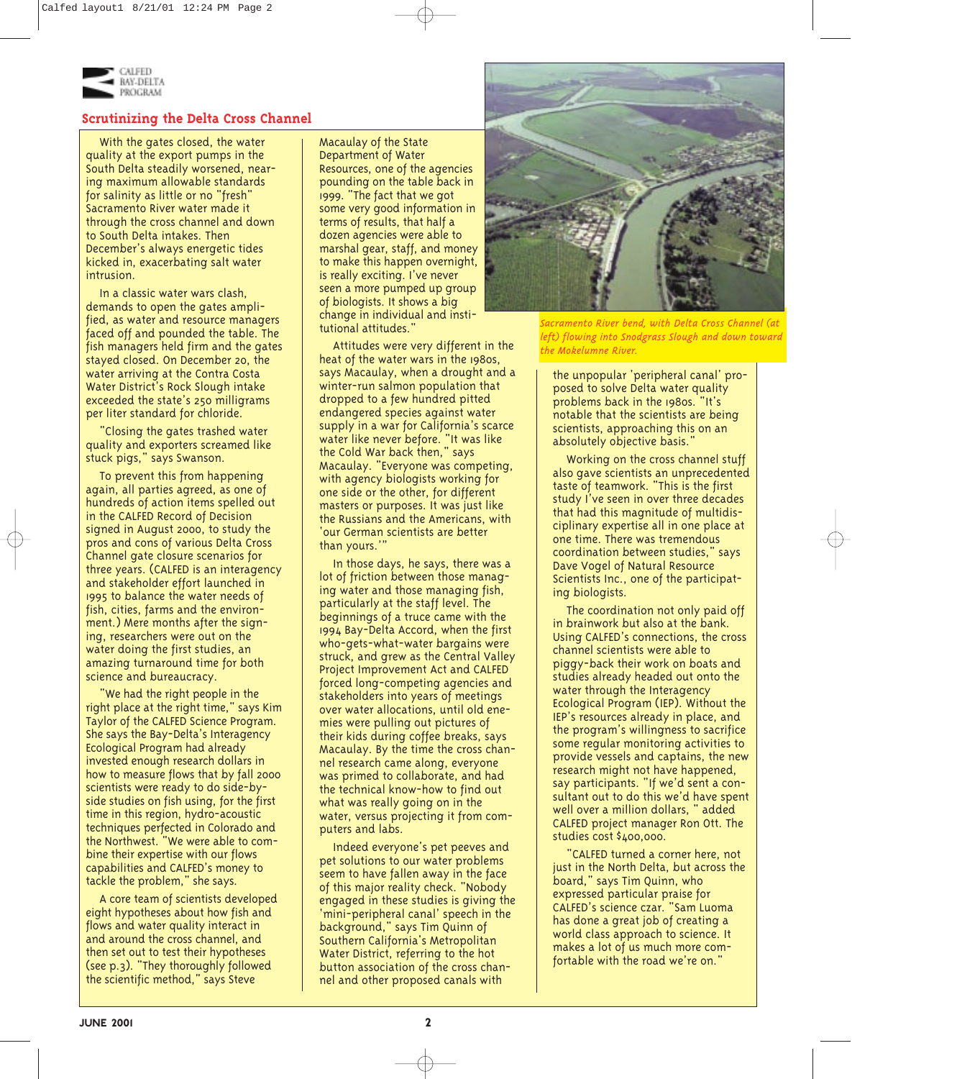

## **Scrutinizing the Delta Cross Channel**

With the gates closed, the water quality at the export pumps in the South Delta steadily worsened, nearing maximum allowable standards for salinity as little or no "fresh" Sacramento River water made it through the cross channel and down to South Delta intakes. Then December's always energetic tides kicked in, exacerbating salt water intrusion.

In a classic water wars clash, demands to open the gates amplified, as water and resource managers faced off and pounded the table. The fish managers held firm and the gates stayed closed. On December 20, the water arriving at the Contra Costa Water District's Rock Slough intake exceeded the state's 250 milligrams per liter standard for chloride.

"Closing the gates trashed water quality and exporters screamed like stuck pigs," says Swanson.

To prevent this from happening again, all parties agreed, as one of hundreds of action items spelled out in the CALFED Record of Decision signed in August 2000, to study the pros and cons of various Delta Cross Channel gate closure scenarios for three years. (CALFED is an interagency and stakeholder effort launched in 1995 to balance the water needs of fish, cities, farms and the environment.) Mere months after the signing, researchers were out on the water doing the first studies, an amazing turnaround time for both science and bureaucracy.

"We had the right people in the right place at the right time," says Kim Taylor of the CALFED Science Program. She says the Bay-Delta's Interagency Ecological Program had already invested enough research dollars in how to measure flows that by fall 2000 scientists were ready to do side-byside studies on fish using, for the first time in this region, hydro-acoustic techniques perfected in Colorado and the Northwest. "We were able to combine their expertise with our flows capabilities and CALFED's money to tackle the problem," she says.

A core team of scientists developed eight hypotheses about how fish and flows and water quality interact in and around the cross channel, and then set out to test their hypotheses (see p.3). "They thoroughly followed the scientific method," says Steve

Macaulay of the State Department of Water Resources, one of the agencies pounding on the table back in 1999. "The fact that we got some very good information in terms of results, that half a dozen agencies were able to marshal gear, staff, and money to make this happen overnight, is really exciting. I've never seen a more pumped up group of biologists. It shows a big change in individual and institutional attitudes."

Attitudes were very different in the heat of the water wars in the 1980s, says Macaulay, when a drought and a winter-run salmon population that dropped to a few hundred pitted endangered species against water supply in a war for California's scarce water like never before. "It was like the Cold War back then," says Macaulay. "Everyone was competing, with agency biologists working for one side or the other, for different masters or purposes. It was just like the Russians and the Americans, with 'our German scientists are better than yours.'

In those days, he says, there was a lot of friction between those managing water and those managing fish, particularly at the staff level. The beginnings of a truce came with the 1994 Bay-Delta Accord, when the first who-gets-what-water bargains were struck, and grew as the Central Valley Project Improvement Act and CALFED forced long-competing agencies and stakeholders into years of meetings over water allocations, until old enemies were pulling out pictures of their kids during coffee breaks, says Macaulay. By the time the cross channel research came along, everyone was primed to collaborate, and had the technical know-how to find out what was really going on in the water, versus projecting it from computers and labs.

Indeed everyone's pet peeves and pet solutions to our water problems seem to have fallen away in the face of this major reality check. "Nobody engaged in these studies is giving the 'mini-peripheral canal' speech in the background," says Tim Quinn of Southern California's Metropolitan Water District, referring to the hot button association of the cross channel and other proposed canals with



*Sacramento River bend, with Delta Cross Channel (at left) flowing into Snodgrass Slough and down toward the Mokelumne River.*

the unpopular 'peripheral canal' proposed to solve Delta water quality problems back in the 1980s. "It's notable that the scientists are being scientists, approaching this on an absolutely objective basis."

Working on the cross channel stuff also gave scientists an unprecedented taste of teamwork. "This is the first study I've seen in over three decades that had this magnitude of multidisciplinary expertise all in one place at one time. There was tremendous coordination between studies," says Dave Vogel of Natural Resource Scientists Inc., one of the participating biologists.

The coordination not only paid off in brainwork but also at the bank. Using CALFED's connections, the cross channel scientists were able to piggy-back their work on boats and studies already headed out onto the water through the Interagency Ecological Program (IEP). Without the IEP's resources already in place, and the program's willingness to sacrifice some regular monitoring activities to provide vessels and captains, the new research might not have happened, say participants. "If we'd sent a consultant out to do this we'd have spent well over a million dollars, " added CALFED project manager Ron Ott. The studies cost \$400,000.

"CALFED turned a corner here, not just in the North Delta, but across the board," says Tim Quinn, who expressed particular praise for CALFED's science czar. "Sam Luoma has done a great job of creating a world class approach to science. It makes a lot of us much more comfortable with the road we're on."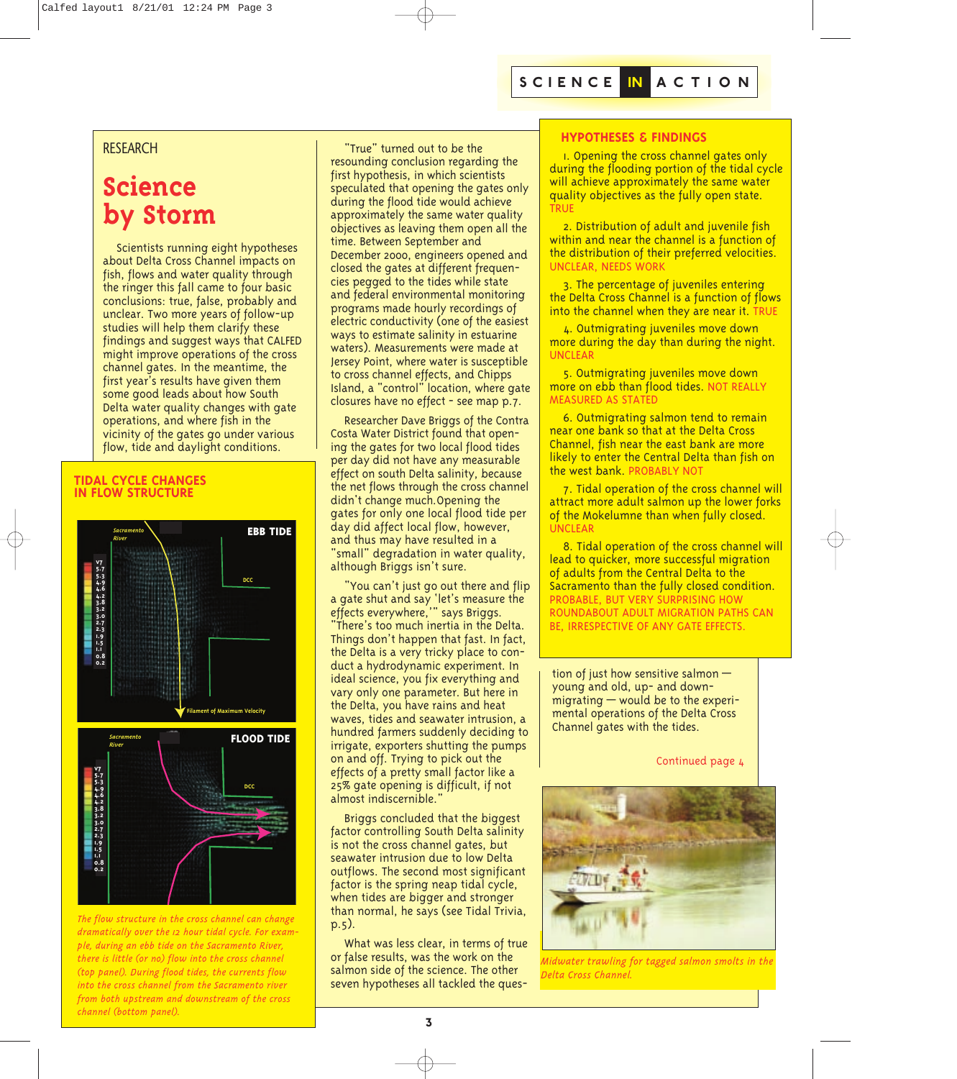## **RESEARCH**

## **Science by Storm**

Scientists running eight hypotheses about Delta Cross Channel impacts on fish, flows and water quality through the ringer this fall came to four basic conclusions: true, false, probably and unclear. Two more years of follow-up studies will help them clarify these findings and suggest ways that CALFED might improve operations of the cross channel gates. In the meantime, the first year's results have given them some good leads about how South Delta water quality changes with gate operations, and where fish in the vicinity of the gates go under various flow, tide and daylight conditions.

### **TIDAL CYCLE CHANGES IN FLOW STRUCTURE**





*The flow structure in the cross channel can change dramatically over the 12 hour tidal cycle. For example, during an ebb tide on the Sacramento River, there is little (or no) flow into the cross channel (top panel). During flood tides, the currents flow into the cross channel from the Sacramento river from both upstream and downstream of the cross channel (bottom panel).*

"True" turned out to be the resounding conclusion regarding the first hypothesis, in which scientists speculated that opening the gates only during the flood tide would achieve approximately the same water quality objectives as leaving them open all the time. Between September and December 2000, engineers opened and closed the gates at different frequencies pegged to the tides while state and federal environmental monitoring programs made hourly recordings of electric conductivity (one of the easiest ways to estimate salinity in estuarine waters). Measurements were made at Jersey Point, where water is susceptible to cross channel effects, and Chipps Island, a "control" location, where gate closures have no effect - see map p.7.

Researcher Dave Briggs of the Contra Costa Water District found that opening the gates for two local flood tides per day did not have any measurable effect on south Delta salinity, because the net flows through the cross channel didn't change much.Opening the gates for only one local flood tide per day did affect local flow, however, and thus may have resulted in a "small" degradation in water quality, although Briggs isn't sure.

"You can't just go out there and flip a gate shut and say 'let's measure the effects everywhere,'" says Briggs. "There's too much inertia in the Delta. Things don't happen that fast. In fact, the Delta is a very tricky place to conduct a hydrodynamic experiment. In ideal science, you fix everything and vary only one parameter. But here in the Delta, you have rains and heat waves, tides and seawater intrusion, a hundred farmers suddenly deciding to irrigate, exporters shutting the pumps on and off. Trying to pick out the effects of a pretty small factor like a 25% gate opening is difficult, if not almost indiscernible."

Briggs concluded that the biggest factor controlling South Delta salinity is not the cross channel gates, but seawater intrusion due to low Delta outflows. The second most significant factor is the spring neap tidal cycle, when tides are bigger and stronger than normal, he says (see Tidal Trivia, p.5).

What was less clear, in terms of true or false results, was the work on the salmon side of the science. The other seven hypotheses all tackled the ques-

## **HYPOTHESES & FINDINGS**

1. Opening the cross channel gates only during the flooding portion of the tidal cycle will achieve approximately the same water quality objectives as the fully open state. **TRUE** 

2. Distribution of adult and juvenile fish within and near the channel is a function of the distribution of their preferred velocities. UNCLEAR, NEEDS WORK

3. The percentage of juveniles entering the Delta Cross Channel is a function of flows into the channel when they are near it. TRUE

4. Outmigrating juveniles move down more during the day than during the night. UNCLEAR

5. Outmigrating juveniles move down more on ebb than flood tides. NOT REALLY MEASURED AS STATED

6. Outmigrating salmon tend to remain near one bank so that at the Delta Cross Channel, fish near the east bank are more likely to enter the Central Delta than fish on the west bank. PROBABLY NOT

7. Tidal operation of the cross channel will attract more adult salmon up the lower forks of the Mokelumne than when fully closed. UNCLEAR

8. Tidal operation of the cross channel will lead to quicker, more successful migration of adults from the Central Delta to the Sacramento than the fully closed condition. PROBABLE, BUT VERY SURPRISING HOW ROUNDABOUT ADULT MIGRATION PATHS CAN BE, IRRESPECTIVE OF ANY GATE EFFECTS.

tion of just how sensitive salmon young and old, up- and downmigrating — would be to the experimental operations of the Delta Cross Channel gates with the tides.

Continued page 4



*Midwater trawling for tagged salmon smolts in the Delta Cross Channel.*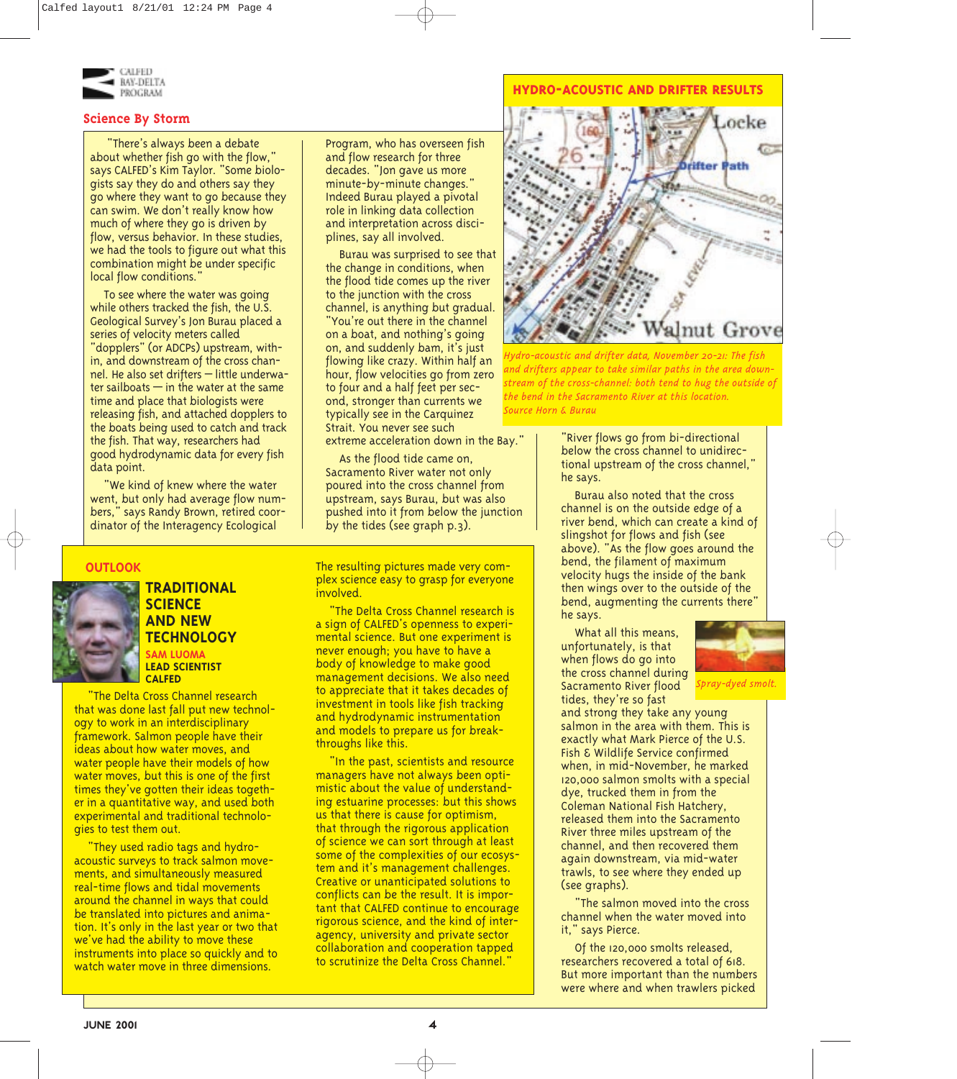

### **Science By Storm**

"There's always been a debate about whether fish go with the flow," says CALFED's Kim Taylor. "Some biologists say they do and others say they go where they want to go because they can swim. We don't really know how much of where they go is driven by flow, versus behavior. In these studies, we had the tools to figure out what this combination might be under specific local flow conditions.'

To see where the water was going while others tracked the fish, the U.S. Geological Survey's Jon Burau placed a series of velocity meters called "dopplers" (or ADCPs) upstream, within, and downstream of the cross channel. He also set drifters – little underwater sailboats  $-$  in the water at the same time and place that biologists were releasing fish, and attached dopplers to the boats being used to catch and track the fish. That way, researchers had good hydrodynamic data for every fish data point.

"We kind of knew where the water went, but only had average flow numbers," says Randy Brown, retired coordinator of the Interagency Ecological

## **OUTLOOK**



## **TRADITIONAL SCIENCE AND NEW TECHNOLOGY**

**SAM LUOMA LEAD SCIENTIST CALFED**

"The Delta Cross Channel research that was done last fall put new technology to work in an interdisciplinary framework. Salmon people have their ideas about how water moves, and water people have their models of how water moves, but this is one of the first times they've gotten their ideas together in a quantitative way, and used both experimental and traditional technologies to test them out.

"They used radio tags and hydroacoustic surveys to track salmon movements, and simultaneously measured real-time flows and tidal movements around the channel in ways that could be translated into pictures and animation. It's only in the last year or two that we've had the ability to move these instruments into place so quickly and to watch water move in three dimensions.

Program, who has overseen fish and flow research for three decades. "Jon gave us more minute-by-minute changes." Indeed Burau played a pivotal role in linking data collection and interpretation across disciplines, say all involved.

Burau was surprised to see that the change in conditions, when the flood tide comes up the river to the junction with the cross channel, is anything but gradual. "You're out there in the channel on a boat, and nothing's going on, and suddenly bam, it's just flowing like crazy. Within half an hour, flow velocities go from zero to four and a half feet per second, stronger than currents we typically see in the Carquinez Strait. You never see such extreme acceleration down in the Bay."

As the flood tide came on, Sacramento River water not only poured into the cross channel from upstream, says Burau, but was also pushed into it from below the junction by the tides (see graph p.3).

The resulting pictures made very complex science easy to grasp for everyone involved.

"The Delta Cross Channel research is a sign of CALFED's openness to experimental science. But one experiment is never enough; you have to have a body of knowledge to make good management decisions. We also need to appreciate that it takes decades of investment in tools like fish tracking and hydrodynamic instrumentation and models to prepare us for breakthroughs like this.

"In the past, scientists and resource managers have not always been optimistic about the value of understanding estuarine processes: but this shows us that there is cause for optimism, that through the rigorous application of science we can sort through at least some of the complexities of our ecosystem and it's management challenges. Creative or unanticipated solutions to conflicts can be the result. It is important that CALFED continue to encourage rigorous science, and the kind of interagency, university and private sector collaboration and cooperation tapped to scrutinize the Delta Cross Channel."

#### **HYDRO-ACOUSTIC AND DRIFTER RESULTS**



*Hydro-acoustic and drifter data, November 20-21: The fish and drifters appear to take similar paths in the area downstream of the cross-channel: both tend to hug the outside of the bend in the Sacramento River at this location. Source Horn & Burau*

"River flows go from bi-directional below the cross channel to unidirectional upstream of the cross channel," he says.

Burau also noted that the cross channel is on the outside edge of a river bend, which can create a kind of slingshot for flows and fish (see above). "As the flow goes around the bend, the filament of maximum velocity hugs the inside of the bank then wings over to the outside of the bend, augmenting the currents there" he says.

What all this means, unfortunately, is that when flows do go into the cross channel during Sacramento River flood tides, they're so fast



*Spray-dyed smolt.*

and strong they take any young salmon in the area with them. This is exactly what Mark Pierce of the U.S. Fish & Wildlife Service confirmed when, in mid-November, he marked 120,000 salmon smolts with a special dye, trucked them in from the Coleman National Fish Hatchery, released them into the Sacramento River three miles upstream of the channel, and then recovered them again downstream, via mid-water trawls, to see where they ended up (see graphs).

"The salmon moved into the cross channel when the water moved into it," says Pierce.

Of the 120,000 smolts released, researchers recovered a total of 618. But more important than the numbers were where and when trawlers picked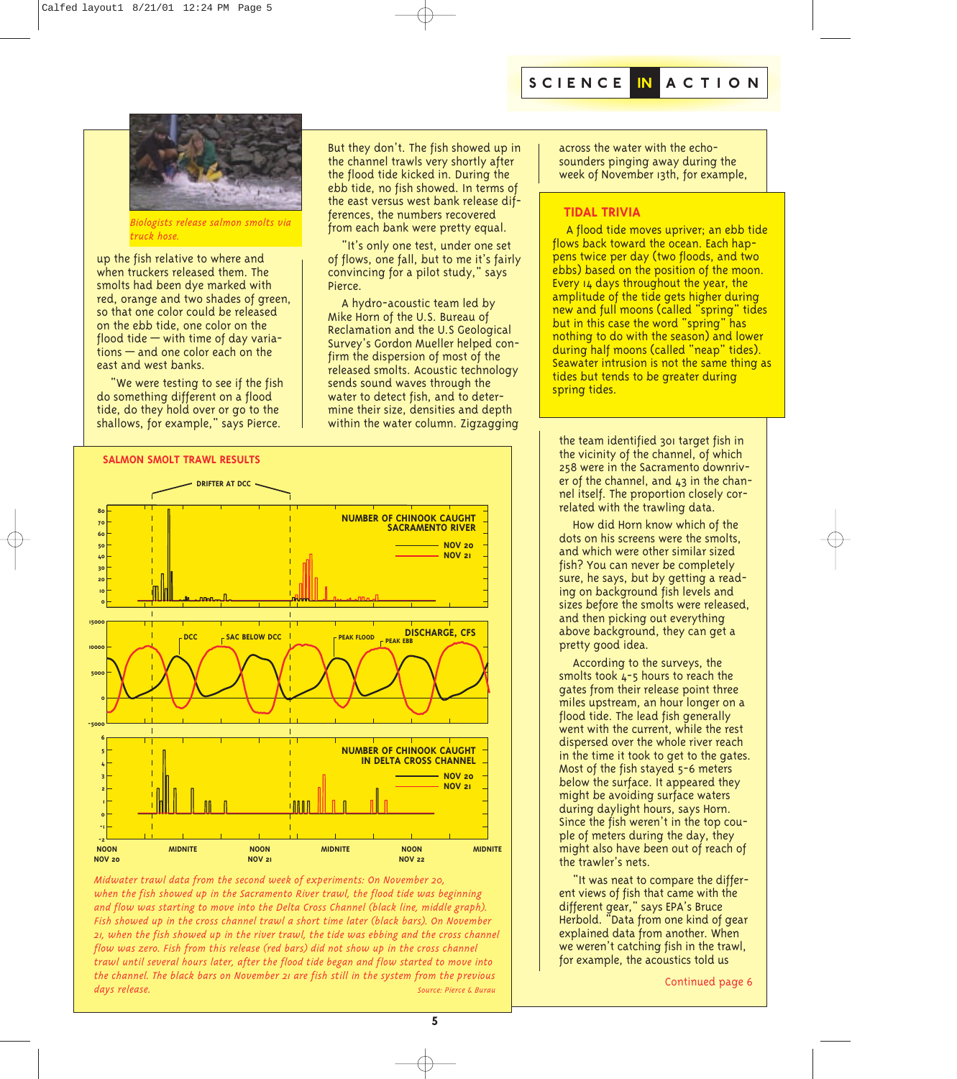

*Biologists release salmon smolts via truck hose.*

up the fish relative to where and when truckers released them. The smolts had been dye marked with red, orange and two shades of green, so that one color could be released on the ebb tide, one color on the flood tide  $-$  with time of day variations — and one color each on the east and west banks.

"We were testing to see if the fish do something different on a flood tide, do they hold over or go to the shallows, for example," says Pierce.

But they don't. The fish showed up in the channel trawls very shortly after the flood tide kicked in. During the ebb tide, no fish showed. In terms of the east versus west bank release differences, the numbers recovered from each bank were pretty equal.

"It's only one test, under one set of flows, one fall, but to me it's fairly convincing for a pilot study," says Pierce.

A hydro-acoustic team led by Mike Horn of the U.S. Bureau of Reclamation and the U.S Geological Survey's Gordon Mueller helped confirm the dispersion of most of the released smolts. Acoustic technology sends sound waves through the water to detect fish, and to determine their size, densities and depth within the water column. Zigzagging



*Midwater trawl data from the second week of experiments: On November 20, when the fish showed up in the Sacramento River trawl, the flood tide was beginning and flow was starting to move into the Delta Cross Channel (black line, middle graph). Fish showed up in the cross channel trawl a short time later (black bars). On November 21, when the fish showed up in the river trawl, the tide was ebbing and the cross channel flow was zero. Fish from this release (red bars) did not show up in the cross channel trawl until several hours later, after the flood tide began and flow started to move into the channel. The black bars on November 21 are fish still in the system from the previous days release. Source: Pierce & Burau*

across the water with the echosounders pinging away during the week of November 13th, for example,

## **TIDAL TRIVIA**

A flood tide moves upriver; an ebb tide flows back toward the ocean. Each happens twice per day (two floods, and two ebbs) based on the position of the moon. Every 14 days throughout the year, the amplitude of the tide gets higher during new and full moons (called "spring" tides but in this case the word "spring" has nothing to do with the season) and lower during half moons (called "neap" tides). Seawater intrusion is not the same thing as tides but tends to be greater during spring tides.

the team identified 301 target fish in the vicinity of the channel, of which 258 were in the Sacramento downriver of the channel, and 43 in the channel itself. The proportion closely correlated with the trawling data.

How did Horn know which of the dots on his screens were the smolts, and which were other similar sized fish? You can never be completely sure, he says, but by getting a reading on background fish levels and sizes before the smolts were released, and then picking out everything above background, they can get a pretty good idea.

According to the surveys, the smolts took  $L$ -5 hours to reach the gates from their release point three miles upstream, an hour longer on a flood tide. The lead fish generally went with the current, while the rest dispersed over the whole river reach in the time it took to get to the gates. Most of the fish stayed 5-6 meters below the surface. It appeared they might be avoiding surface waters during daylight hours, says Horn. Since the fish weren't in the top couple of meters during the day, they might also have been out of reach of the trawler's nets.

"It was neat to compare the different views of fish that came with the different gear," says EPA's Bruce Herbold. "Data from one kind of gear explained data from another. When we weren't catching fish in the trawl, for example, the acoustics told us

Continued page 6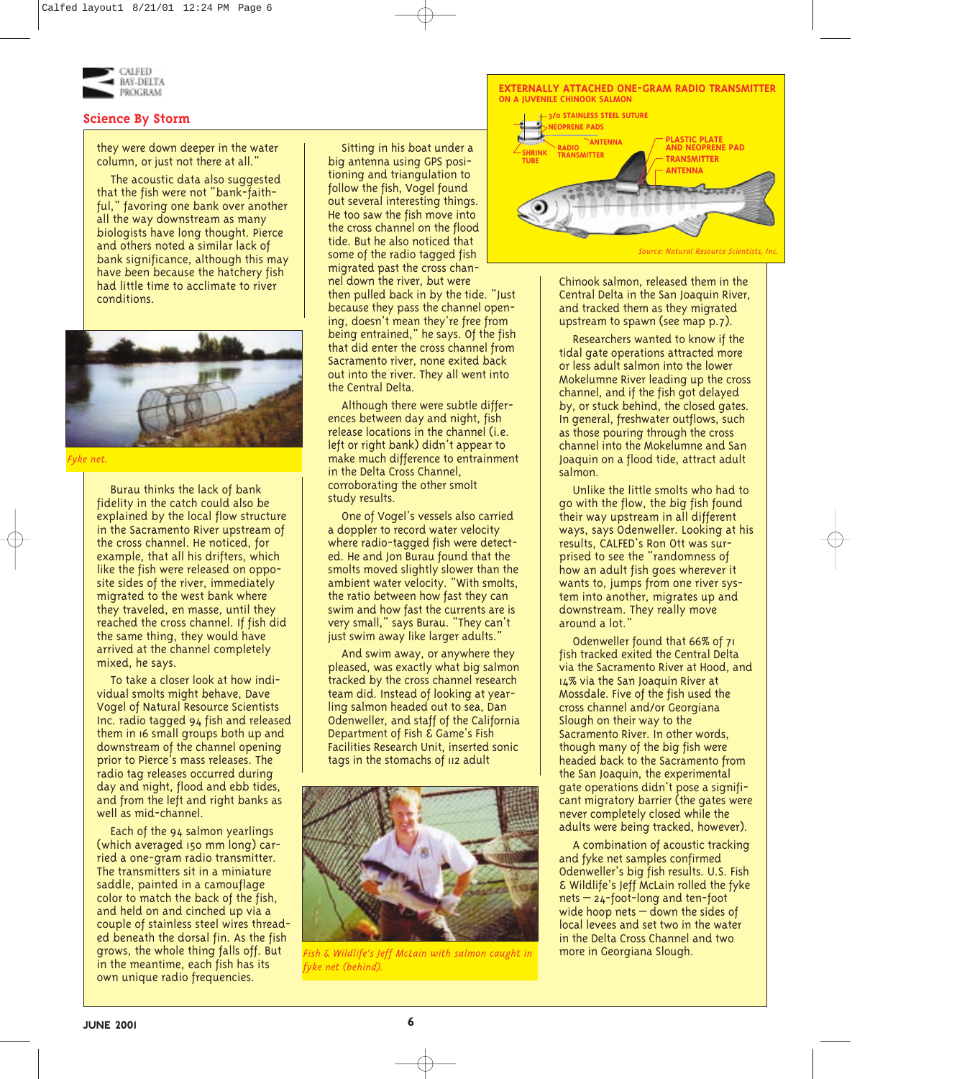

## **Science By Storm**

they were down deeper in the water column, or just not there at all."

The acoustic data also suggested that the fish were not "bank-faithful," favoring one bank over another all the way downstream as many biologists have long thought. Pierce and others noted a similar lack of bank significance, although this may have been because the hatchery fish had little time to acclimate to river conditions.



*Fyke net.*

Burau thinks the lack of bank fidelity in the catch could also be explained by the local flow structure in the Sacramento River upstream of the cross channel. He noticed, for example, that all his drifters, which like the fish were released on opposite sides of the river, immediately migrated to the west bank where they traveled, en masse, until they reached the cross channel. If fish did the same thing, they would have arrived at the channel completely mixed, he says.

To take a closer look at how individual smolts might behave, Dave Vogel of Natural Resource Scientists Inc. radio tagged 94 fish and released them in 16 small groups both up and downstream of the channel opening prior to Pierce's mass releases. The radio tag releases occurred during day and night, flood and ebb tides, and from the left and right banks as well as mid-channel.

Each of the 94 salmon yearlings (which averaged 150 mm long) carried a one-gram radio transmitter. The transmitters sit in a miniature saddle, painted in a camouflage color to match the back of the fish, and held on and cinched up via a couple of stainless steel wires threaded beneath the dorsal fin. As the fish grows, the whole thing falls off. But in the meantime, each fish has its own unique radio frequencies.

Sitting in his boat under a big antenna using GPS positioning and triangulation to follow the fish, Vogel found out several interesting things. He too saw the fish move into the cross channel on the flood tide. But he also noticed that some of the radio tagged fish migrated past the cross channel down the river, but were then pulled back in by the tide. "Just because they pass the channel opening, doesn't mean they're free from being entrained," he says. Of the fish that did enter the cross channel from Sacramento river, none exited back out into the river. They all went into

the Central Delta.

Although there were subtle differences between day and night, fish release locations in the channel (i.e. left or right bank) didn't appear to make much difference to entrainment in the Delta Cross Channel. corroborating the other smolt study results.

One of Vogel's vessels also carried a doppler to record water velocity where radio-tagged fish were detected. He and Jon Burau found that the smolts moved slightly slower than the ambient water velocity. "With smolts, the ratio between how fast they can swim and how fast the currents are is very small," says Burau. "They can't just swim away like larger adults."

And swim away, or anywhere they pleased, was exactly what big salmon tracked by the cross channel research team did. Instead of looking at yearling salmon headed out to sea, Dan Odenweller, and staff of the California Department of Fish & Game's Fish Facilities Research Unit, inserted sonic tags in the stomachs of 112 adult



*Fish & Wildlife's Jeff McLain with salmon caught in fyke net (behind).* 



Chinook salmon, released them in the Central Delta in the San Joaquin River, and tracked them as they migrated upstream to spawn (see map p.7).

Researchers wanted to know if the tidal gate operations attracted more or less adult salmon into the lower Mokelumne River leading up the cross channel, and if the fish got delayed by, or stuck behind, the closed gates. In general, freshwater outflows, such as those pouring through the cross channel into the Mokelumne and San Joaquin on a flood tide, attract adult salmon.

Unlike the little smolts who had to go with the flow, the big fish found their way upstream in all different ways, says Odenweller. Looking at his results, CALFED's Ron Ott was surprised to see the "randomness of how an adult fish goes wherever it wants to, jumps from one river system into another, migrates up and downstream. They really move around a lot."

Odenweller found that 66% of 71 fish tracked exited the Central Delta via the Sacramento River at Hood, and 14% via the San Joaquin River at Mossdale. Five of the fish used the cross channel and/or Georgiana Slough on their way to the Sacramento River. In other words, though many of the big fish were headed back to the Sacramento from the San Joaquin, the experimental gate operations didn't pose a significant migratory barrier (the gates were never completely closed while the adults were being tracked, however).

A combination of acoustic tracking and fyke net samples confirmed Odenweller's big fish results. U.S. Fish & Wildlife's Jeff McLain rolled the fyke nets – 24-foot-long and ten-foot wide hoop nets  $-$  down the sides of local levees and set two in the water in the Delta Cross Channel and two more in Georgiana Slough.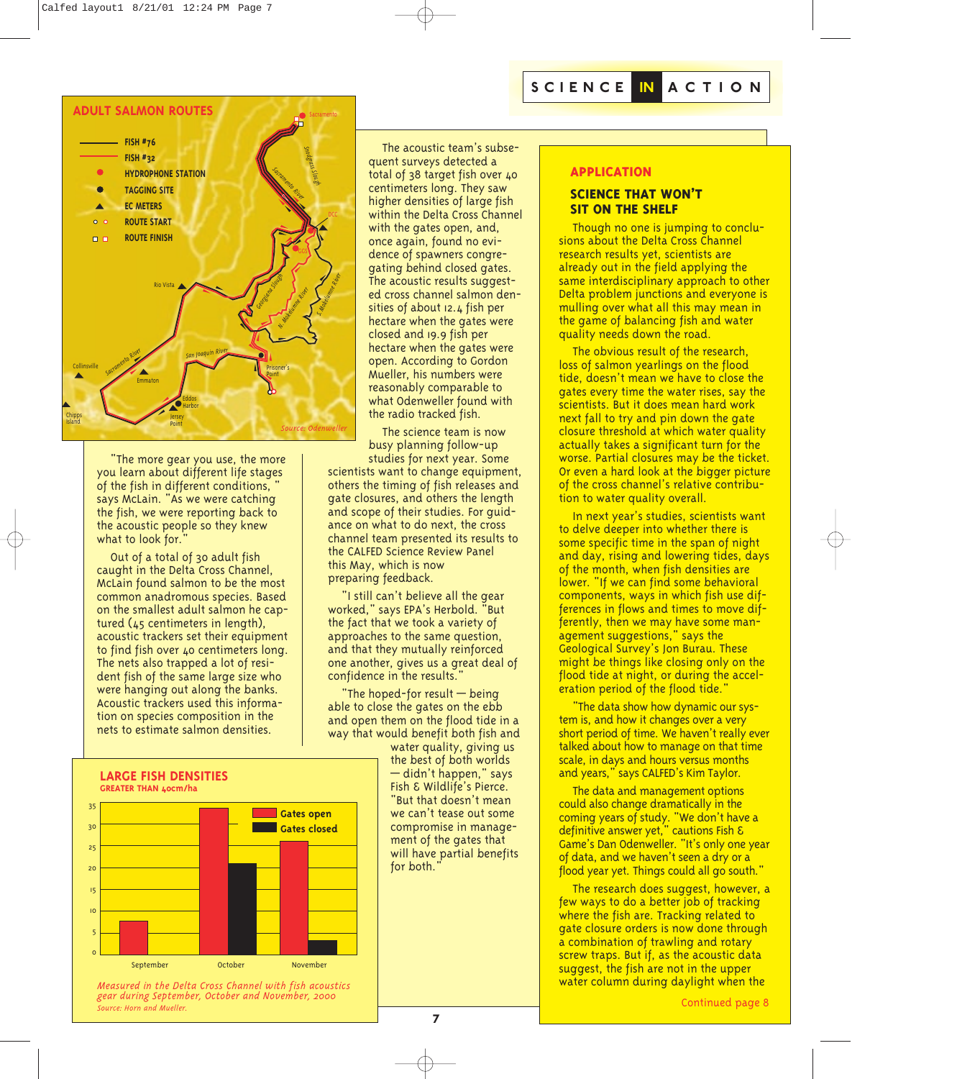

"The more gear you use, the more you learn about different life stages of the fish in different conditions, " says McLain. "As we were catching the fish, we were reporting back to the acoustic people so they knew what to look for.

Out of a total of 30 adult fish caught in the Delta Cross Channel, McLain found salmon to be the most common anadromous species. Based on the smallest adult salmon he captured (45 centimeters in length), acoustic trackers set their equipment to find fish over 40 centimeters long. The nets also trapped a lot of resident fish of the same large size who were hanging out along the banks. Acoustic trackers used this information on species composition in the nets to estimate salmon densities.

The acoustic team's subsequent surveys detected a total of 38 target fish over 40 centimeters long. They saw higher densities of large fish within the Delta Cross Channel with the gates open, and, once again, found no evidence of spawners congregating behind closed gates. The acoustic results suggested cross channel salmon densities of about 12.4 fish per hectare when the gates were closed and 19.9 fish per hectare when the gates were open. According to Gordon Mueller, his numbers were reasonably comparable to what Odenweller found with the radio tracked fish.

The science team is now busy planning follow-up studies for next year. Some

scientists want to change equipment. others the timing of fish releases and gate closures, and others the length and scope of their studies. For guidance on what to do next, the cross channel team presented its results to the CALFED Science Review Panel this May, which is now preparing feedback.

"I still can't believe all the gear worked," says EPA's Herbold. "But the fact that we took a variety of approaches to the same question, and that they mutually reinforced one another, gives us a great deal of confidence in the results."

"The hoped-for result — being able to close the gates on the ebb and open them on the flood tide in a way that would benefit both fish and

water quality, giving us the best of both worlds — didn't happen," says Fish & Wildlife's Pierce. "But that doesn't mean we can't tease out some compromise in management of the gates that will have partial benefits for both."

#### **APPLICATION**

#### **SCIENCE THAT WON'T SIT ON THE SHELF**

Though no one is jumping to conclusions about the Delta Cross Channel research results yet, scientists are already out in the field applying the same interdisciplinary approach to other Delta problem junctions and everyone is mulling over what all this may mean in the game of balancing fish and water quality needs down the road.

The obvious result of the research, loss of salmon yearlings on the flood tide, doesn't mean we have to close the gates every time the water rises, say the scientists. But it does mean hard work next fall to try and pin down the gate closure threshold at which water quality actually takes a significant turn for the worse. Partial closures may be the ticket. Or even a hard look at the bigger picture of the cross channel's relative contribution to water quality overall.

In next year's studies, scientists want to delve deeper into whether there is some specific time in the span of night and day, rising and lowering tides, days of the month, when fish densities are lower. "If we can find some behavioral components, ways in which fish use differences in flows and times to move differently, then we may have some management suggestions," says the Geological Survey's Jon Burau. These might be things like closing only on the flood tide at night, or during the acceleration period of the flood tide."

"The data show how dynamic our system is, and how it changes over a very short period of time. We haven't really ever talked about how to manage on that time scale, in days and hours versus months and years," says CALFED's Kim Taylor.

The data and management options could also change dramatically in the coming years of study. "We don't have a definitive answer yet," cautions Fish & Game's Dan Odenweller. "It's only one year of data, and we haven't seen a dry or a flood year yet. Things could all go south."

The research does suggest, however, a few ways to do a better job of tracking where the fish are. Tracking related to gate closure orders is now done through a combination of trawling and rotary screw traps. But if, as the acoustic data suggest, the fish are not in the upper water column during daylight when the

**LARGE FISH DENSITIES GREATER THAN 40cm/ha**



*Measured in the Delta Cross Channel with fish acoustics gear during September, October and November, 2000 Source: Horn and Mueller.*